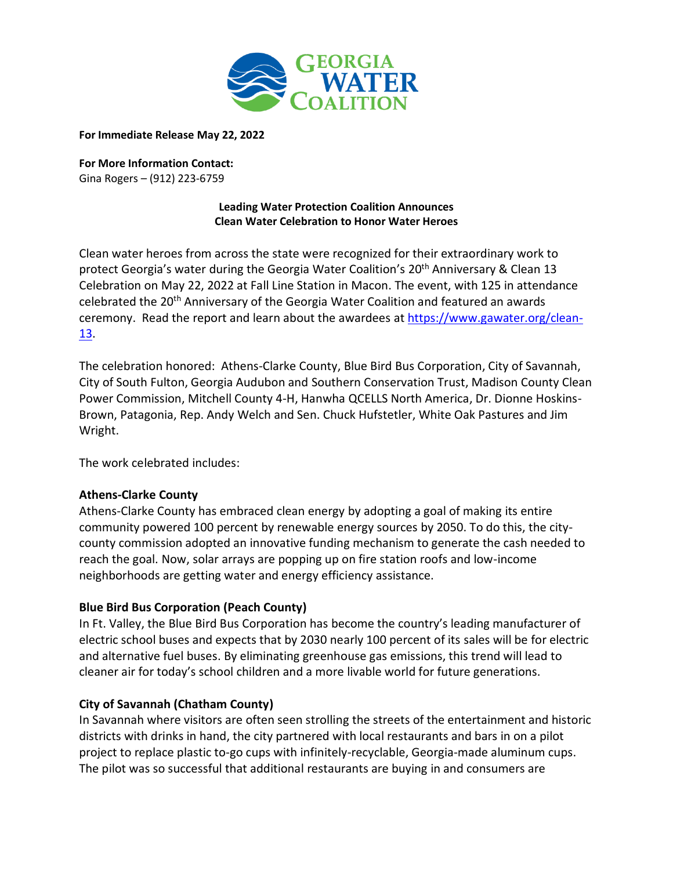

**For Immediate Release May 22, 2022**

**For More Information Contact:**  Gina Rogers – (912) 223-6759

### **Leading Water Protection Coalition Announces Clean Water Celebration to Honor Water Heroes**

Clean water heroes from across the state were recognized for their extraordinary work to protect Georgia's water during the Georgia Water Coalition's 20<sup>th</sup> Anniversary & Clean 13 Celebration on May 22, 2022 at Fall Line Station in Macon. The event, with 125 in attendance celebrated the 20th Anniversary of the Georgia Water Coalition and featured an awards ceremony. Read the report and learn about the awardees at [https://www.gawater.org/clean-](https://www.gawater.org/clean-13)[13.](https://www.gawater.org/clean-13)

The celebration honored: Athens-Clarke County, Blue Bird Bus Corporation, City of Savannah, City of South Fulton, Georgia Audubon and Southern Conservation Trust, Madison County Clean Power Commission, Mitchell County 4-H, Hanwha QCELLS North America, Dr. Dionne Hoskins-Brown, Patagonia, Rep. Andy Welch and Sen. Chuck Hufstetler, White Oak Pastures and Jim Wright.

The work celebrated includes:

### **Athens-Clarke County**

Athens-Clarke County has embraced clean energy by adopting a goal of making its entire community powered 100 percent by renewable energy sources by 2050. To do this, the citycounty commission adopted an innovative funding mechanism to generate the cash needed to reach the goal. Now, solar arrays are popping up on fire station roofs and low-income neighborhoods are getting water and energy efficiency assistance.

### **Blue Bird Bus Corporation (Peach County)**

In Ft. Valley, the Blue Bird Bus Corporation has become the country's leading manufacturer of electric school buses and expects that by 2030 nearly 100 percent of its sales will be for electric and alternative fuel buses. By eliminating greenhouse gas emissions, this trend will lead to cleaner air for today's school children and a more livable world for future generations.

## **City of Savannah (Chatham County)**

In Savannah where visitors are often seen strolling the streets of the entertainment and historic districts with drinks in hand, the city partnered with local restaurants and bars in on a pilot project to replace plastic to-go cups with infinitely-recyclable, Georgia-made aluminum cups. The pilot was so successful that additional restaurants are buying in and consumers are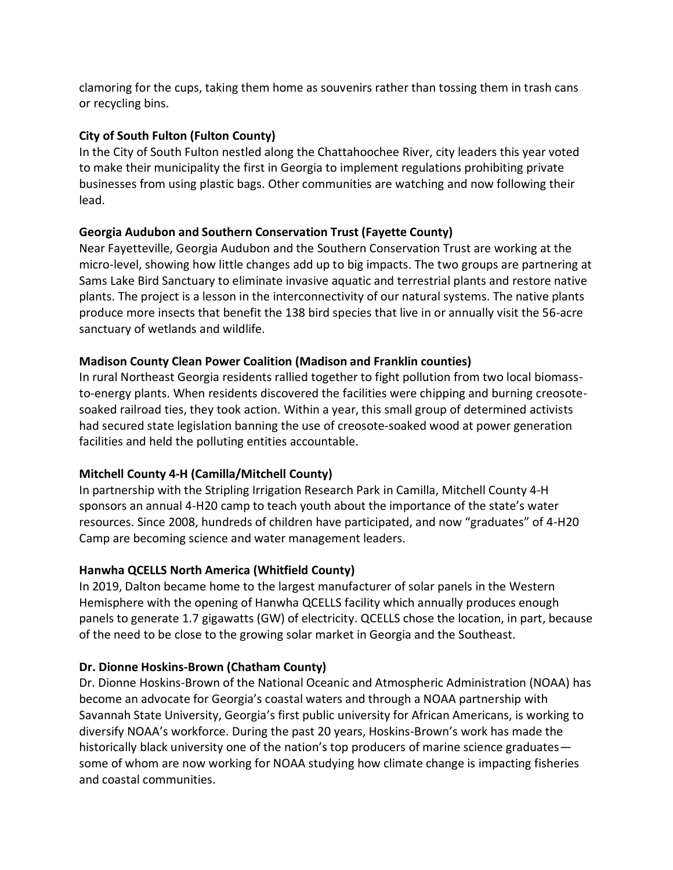clamoring for the cups, taking them home as souvenirs rather than tossing them in trash cans or recycling bins.

# **City of South Fulton (Fulton County)**

In the City of South Fulton nestled along the Chattahoochee River, city leaders this year voted to make their municipality the first in Georgia to implement regulations prohibiting private businesses from using plastic bags. Other communities are watching and now following their lead.

# **Georgia Audubon and Southern Conservation Trust (Fayette County)**

Near Fayetteville, Georgia Audubon and the Southern Conservation Trust are working at the micro-level, showing how little changes add up to big impacts. The two groups are partnering at Sams Lake Bird Sanctuary to eliminate invasive aquatic and terrestrial plants and restore native plants. The project is a lesson in the interconnectivity of our natural systems. The native plants produce more insects that benefit the 138 bird species that live in or annually visit the 56-acre sanctuary of wetlands and wildlife.

# **Madison County Clean Power Coalition (Madison and Franklin counties)**

In rural Northeast Georgia residents rallied together to fight pollution from two local biomassto-energy plants. When residents discovered the facilities were chipping and burning creosotesoaked railroad ties, they took action. Within a year, this small group of determined activists had secured state legislation banning the use of creosote-soaked wood at power generation facilities and held the polluting entities accountable.

# **Mitchell County 4-H (Camilla/Mitchell County)**

In partnership with the Stripling Irrigation Research Park in Camilla, Mitchell County 4-H sponsors an annual 4-H20 camp to teach youth about the importance of the state's water resources. Since 2008, hundreds of children have participated, and now "graduates" of 4-H20 Camp are becoming science and water management leaders.

# **Hanwha QCELLS North America (Whitfield County)**

In 2019, Dalton became home to the largest manufacturer of solar panels in the Western Hemisphere with the opening of Hanwha QCELLS facility which annually produces enough panels to generate 1.7 gigawatts (GW) of electricity. QCELLS chose the location, in part, because of the need to be close to the growing solar market in Georgia and the Southeast.

## **Dr. Dionne Hoskins-Brown (Chatham County)**

Dr. Dionne Hoskins-Brown of the National Oceanic and Atmospheric Administration (NOAA) has become an advocate for Georgia's coastal waters and through a NOAA partnership with Savannah State University, Georgia's first public university for African Americans, is working to diversify NOAA's workforce. During the past 20 years, Hoskins-Brown's work has made the historically black university one of the nation's top producers of marine science graduates some of whom are now working for NOAA studying how climate change is impacting fisheries and coastal communities.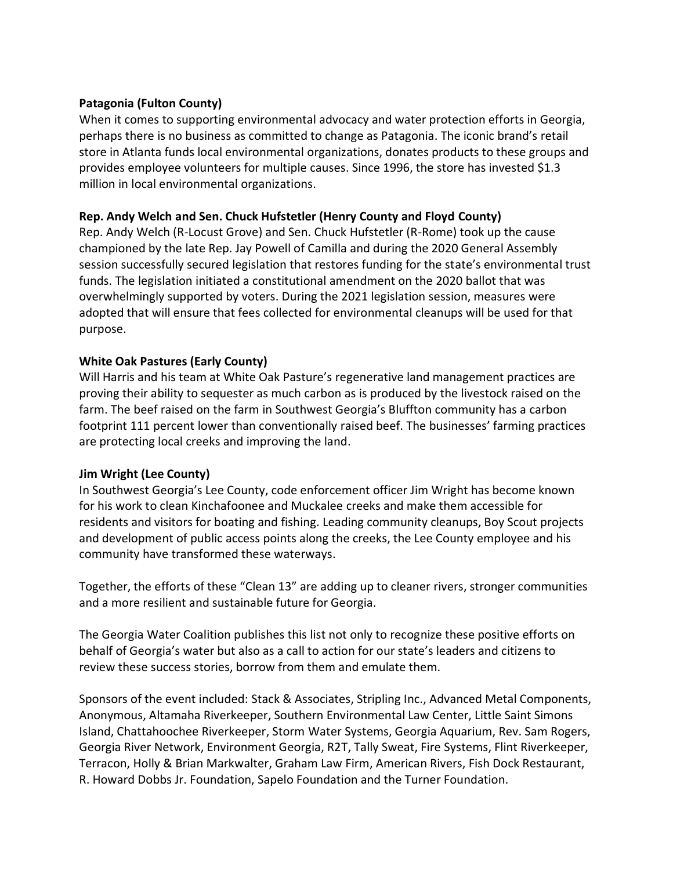### **Patagonia (Fulton County)**

When it comes to supporting environmental advocacy and water protection efforts in Georgia, perhaps there is no business as committed to change as Patagonia. The iconic brand's retail store in Atlanta funds local environmental organizations, donates products to these groups and provides employee volunteers for multiple causes. Since 1996, the store has invested \$1.3 million in local environmental organizations.

### **Rep. Andy Welch and Sen. Chuck Hufstetler (Henry County and Floyd County)**

Rep. Andy Welch (R-Locust Grove) and Sen. Chuck Hufstetler (R-Rome) took up the cause championed by the late Rep. Jay Powell of Camilla and during the 2020 General Assembly session successfully secured legislation that restores funding for the state's environmental trust funds. The legislation initiated a constitutional amendment on the 2020 ballot that was overwhelmingly supported by voters. During the 2021 legislation session, measures were adopted that will ensure that fees collected for environmental cleanups will be used for that purpose.

### **White Oak Pastures (Early County)**

Will Harris and his team at White Oak Pasture's regenerative land management practices are proving their ability to sequester as much carbon as is produced by the livestock raised on the farm. The beef raised on the farm in Southwest Georgia's Bluffton community has a carbon footprint 111 percent lower than conventionally raised beef. The businesses' farming practices are protecting local creeks and improving the land.

## **Jim Wright (Lee County)**

In Southwest Georgia's Lee County, code enforcement officer Jim Wright has become known for his work to clean Kinchafoonee and Muckalee creeks and make them accessible for residents and visitors for boating and fishing. Leading community cleanups, Boy Scout projects and development of public access points along the creeks, the Lee County employee and his community have transformed these waterways.

Together, the efforts of these "Clean 13" are adding up to cleaner rivers, stronger communities and a more resilient and sustainable future for Georgia.

The Georgia Water Coalition publishes this list not only to recognize these positive efforts on behalf of Georgia's water but also as a call to action for our state's leaders and citizens to review these success stories, borrow from them and emulate them.

Sponsors of the event included: Stack & Associates, Stripling Inc., Advanced Metal Components, Anonymous, Altamaha Riverkeeper, Southern Environmental Law Center, Little Saint Simons Island, Chattahoochee Riverkeeper, Storm Water Systems, Georgia Aquarium, Rev. Sam Rogers, Georgia River Network, Environment Georgia, R2T, Tally Sweat, Fire Systems, Flint Riverkeeper, Terracon, Holly & Brian Markwalter, Graham Law Firm, American Rivers, Fish Dock Restaurant, R. Howard Dobbs Jr. Foundation, Sapelo Foundation and the Turner Foundation.